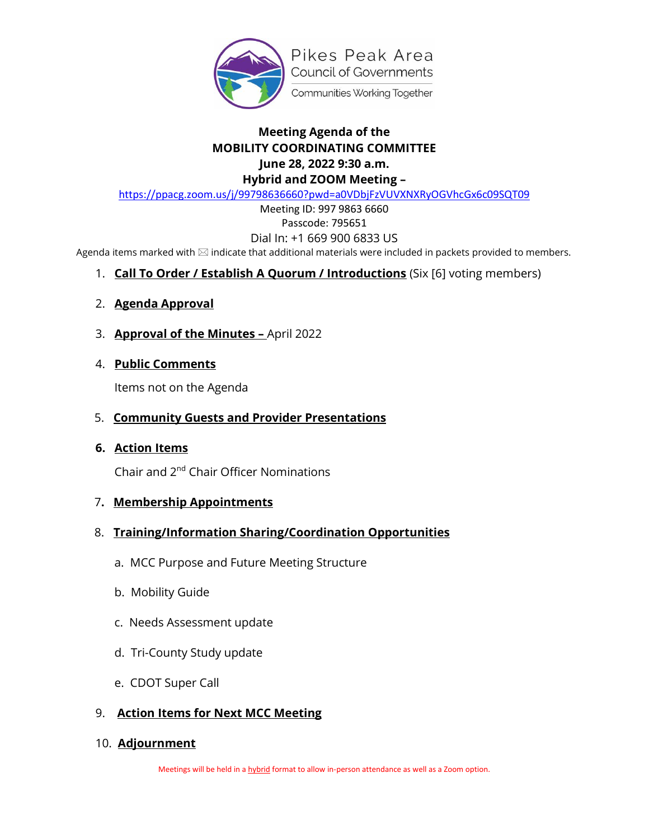

## **Meeting Agenda of the MOBILITY COORDINATING COMMITTEE June 28, 2022 9:30 a.m. Hybrid and ZOOM Meeting –**

<https://ppacg.zoom.us/j/99798636660?pwd=a0VDbjFzVUVXNXRyOGVhcGx6c09SQT09>

Meeting ID: 997 9863 6660 Passcode: 795651

#### Dial In: +1 669 900 6833 US

Agenda items marked with  $\boxtimes$  indicate that additional materials were included in packets provided to members.

- 1. **Call To Order / Establish A Quorum / Introductions** (Six [6] voting members)
- 2. **Agenda Approval**
- 3. **Approval of the Minutes –** April 2022
- 4. **Public Comments**

Items not on the Agenda

- 5. **Community Guests and Provider Presentations**
- **6. Action Items**

Chair and 2nd Chair Officer Nominations

- 7**. Membership Appointments**
- 8. **Training/Information Sharing/Coordination Opportunities**
	- a. MCC Purpose and Future Meeting Structure
	- b. Mobility Guide
	- c. Needs Assessment update
	- d. Tri-County Study update
	- e. CDOT Super Call

### 9. **Action Items for Next MCC Meeting**

10. **Adjournment**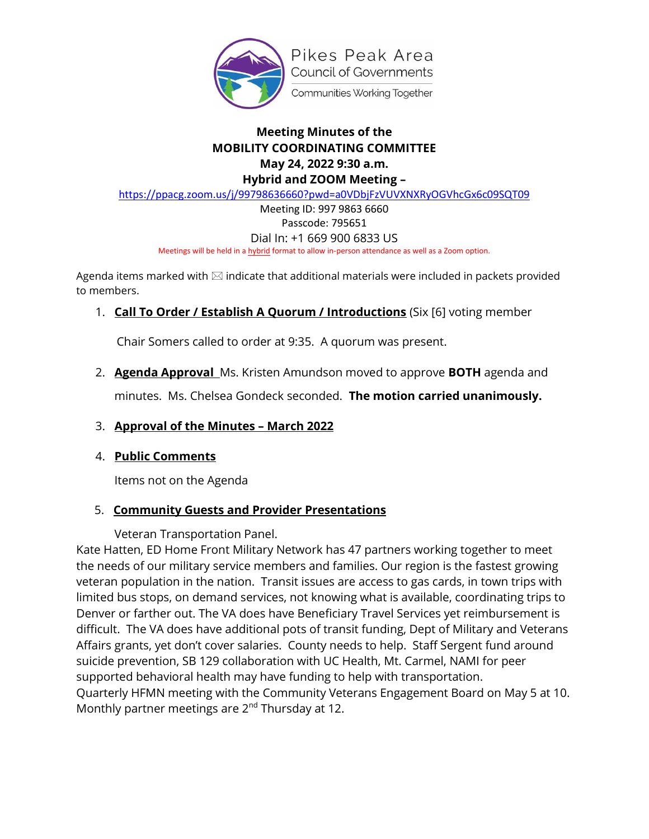

## **Meeting Minutes of the MOBILITY COORDINATING COMMITTEE May 24, 2022 9:30 a.m. Hybrid and ZOOM Meeting –**

<https://ppacg.zoom.us/j/99798636660?pwd=a0VDbjFzVUVXNXRyOGVhcGx6c09SQT09>

Meeting ID: 997 9863 6660 Passcode: 795651 Dial In: +1 669 900 6833 US

Meetings will be held in a hybrid format to allow in-person attendance as well as a Zoom option.

Agenda items marked with  $\boxtimes$  indicate that additional materials were included in packets provided to members.

### 1. **Call To Order / Establish A Quorum / Introductions** (Six [6] voting member

Chair Somers called to order at 9:35. A quorum was present.

2. **Agenda Approval** Ms. Kristen Amundson moved to approve **BOTH** agenda and

minutes. Ms. Chelsea Gondeck seconded. **The motion carried unanimously.**

### 3. **Approval of the Minutes – March 2022**

### 4. **Public Comments**

Items not on the Agenda

# 5. **Community Guests and Provider Presentations**

Veteran Transportation Panel.

Kate Hatten, ED Home Front Military Network has 47 partners working together to meet the needs of our military service members and families. Our region is the fastest growing veteran population in the nation. Transit issues are access to gas cards, in town trips with limited bus stops, on demand services, not knowing what is available, coordinating trips to Denver or farther out. The VA does have Beneficiary Travel Services yet reimbursement is difficult. The VA does have additional pots of transit funding, Dept of Military and Veterans Affairs grants, yet don't cover salaries. County needs to help. Staff Sergent fund around suicide prevention, SB 129 collaboration with UC Health, Mt. Carmel, NAMI for peer supported behavioral health may have funding to help with transportation. Quarterly HFMN meeting with the Community Veterans Engagement Board on May 5 at 10. Monthly partner meetings are 2<sup>nd</sup> Thursday at 12.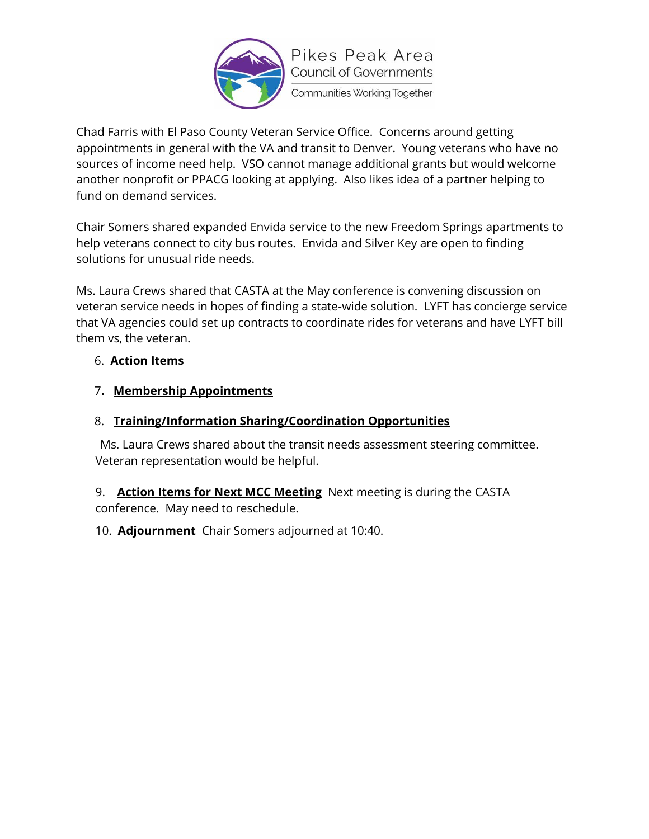

Chad Farris with El Paso County Veteran Service Office. Concerns around getting appointments in general with the VA and transit to Denver. Young veterans who have no sources of income need help. VSO cannot manage additional grants but would welcome another nonprofit or PPACG looking at applying. Also likes idea of a partner helping to fund on demand services.

Chair Somers shared expanded Envida service to the new Freedom Springs apartments to help veterans connect to city bus routes. Envida and Silver Key are open to finding solutions for unusual ride needs.

Ms. Laura Crews shared that CASTA at the May conference is convening discussion on veteran service needs in hopes of finding a state-wide solution. LYFT has concierge service that VA agencies could set up contracts to coordinate rides for veterans and have LYFT bill them vs, the veteran.

## 6. **Action Items**

# 7**. Membership Appointments**

# 8. **Training/Information Sharing/Coordination Opportunities**

Ms. Laura Crews shared about the transit needs assessment steering committee. Veteran representation would be helpful.

9. **Action Items for Next MCC Meeting** Next meeting is during the CASTA conference. May need to reschedule.

10. **Adjournment** Chair Somers adjourned at 10:40.